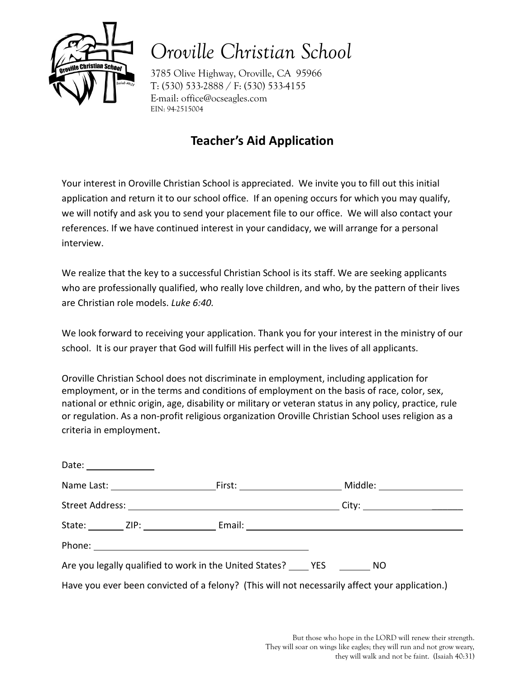

# *Oroville Christian School*

3785 Olive Highway, Oroville, CA 95966 T: (530) 533-2888 / F: (530) 533-4155 E-mail: office@ocseagles.com EIN: 94-2515004

## **Teacher's Aid Application**

Your interest in Oroville Christian School is appreciated. We invite you to fill out this initial application and return it to our school office. If an opening occurs for which you may qualify, we will notify and ask you to send your placement file to our office. We will also contact your references. If we have continued interest in your candidacy, we will arrange for a personal interview.

We realize that the key to a successful Christian School is its staff. We are seeking applicants who are professionally qualified, who really love children, and who, by the pattern of their lives are Christian role models. *Luke 6:40.*

We look forward to receiving your application. Thank you for your interest in the ministry of our school. It is our prayer that God will fulfill His perfect will in the lives of all applicants.

Oroville Christian School does not discriminate in employment, including application for employment, or in the terms and conditions of employment on the basis of race, color, sex, national or ethnic origin, age, disability or military or veteran status in any policy, practice, rule or regulation. As a non-profit religious organization Oroville Christian School uses religion as a criteria in employment.

| Date: _______________ |                                                                     |                                                                                                |  |
|-----------------------|---------------------------------------------------------------------|------------------------------------------------------------------------------------------------|--|
|                       |                                                                     |                                                                                                |  |
|                       |                                                                     |                                                                                                |  |
|                       |                                                                     |                                                                                                |  |
|                       |                                                                     |                                                                                                |  |
|                       | Are you legally qualified to work in the United States? THES THE NO |                                                                                                |  |
|                       |                                                                     | Have you ever been convicted of a felony? (This will not necessarily affect your application.) |  |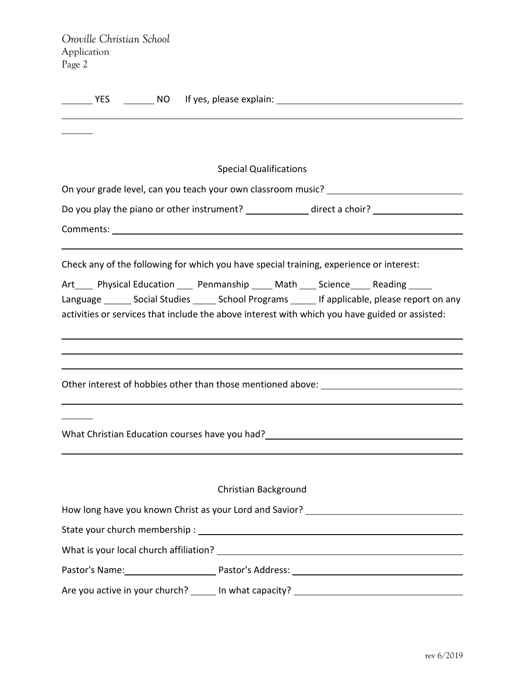| Oroville Christian School |  |
|---------------------------|--|
| Application               |  |
| Page 2                    |  |

| <b>Special Qualifications</b>                                                                            |
|----------------------------------------------------------------------------------------------------------|
| On your grade level, can you teach your own classroom music? ___________________                         |
| Do you play the piano or other instrument? ______________ direct a choir? _________________________      |
|                                                                                                          |
|                                                                                                          |
| Check any of the following for which you have special training, experience or interest:                  |
| Art_____ Physical Education _____ Penmanship _____ Math ____ Science _____ Reading _____                 |
| Language _______ Social Studies ______ School Programs ______ If applicable, please report on any        |
| activities or services that include the above interest with which you have guided or assisted:           |
|                                                                                                          |
|                                                                                                          |
|                                                                                                          |
| Other interest of hobbies other than those mentioned above: _____________________                        |
|                                                                                                          |
| What Christian Education courses have you had?<br><u> What Christian Education courses have you had?</u> |
|                                                                                                          |
|                                                                                                          |
| Christian Background                                                                                     |
|                                                                                                          |
| How long have you known Christ as your Lord and Savior? _________________________                        |
|                                                                                                          |
|                                                                                                          |
| Pastor's Name: Pastor's Address: 1997 Matter Communication Communication Pastor's Address: 2008.         |
| Are you active in your church? ______ In what capacity? ________________________                         |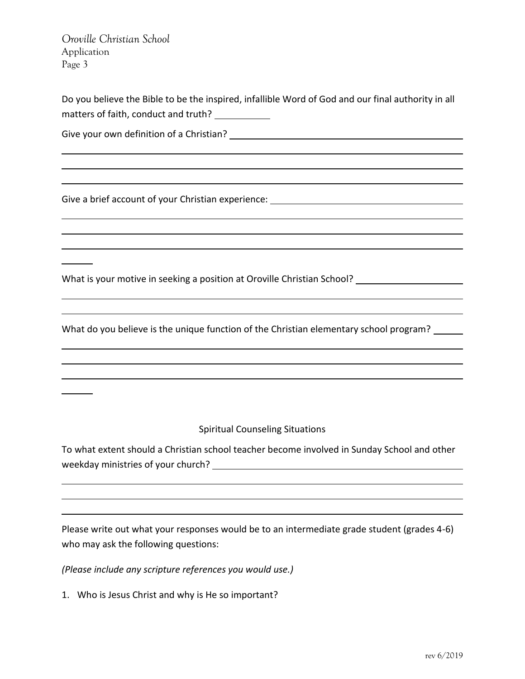*Oroville Christian School* Application Page 3

Do you believe the Bible to be the inspired, infallible Word of God and our final authority in all matters of faith, conduct and truth?

Give your own definition of a Christian?

Give a brief account of your Christian experience: \_\_\_\_\_\_\_\_\_\_\_\_\_\_\_\_\_\_\_\_\_\_\_\_\_\_\_\_\_

What is your motive in seeking a position at Oroville Christian School?

What do you believe is the unique function of the Christian elementary school program? \_\_\_\_\_

Spiritual Counseling Situations

To what extent should a Christian school teacher become involved in Sunday School and other weekday ministries of your church?

Please write out what your responses would be to an intermediate grade student (grades 4-6) who may ask the following questions:

*(Please include any scripture references you would use.)*

1. Who is Jesus Christ and why is He so important?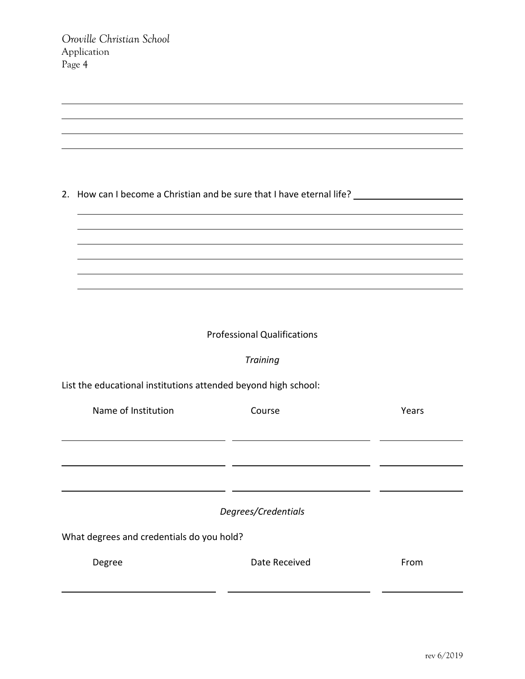|  | 2. How can I become a Christian and be sure that I have eternal life? |  |  |  |
|--|-----------------------------------------------------------------------|--|--|--|
|--|-----------------------------------------------------------------------|--|--|--|

#### Professional Qualifications

### *Training*

List the educational institutions attended beyond high school:

| Name of Institution                       | Course              | Years |
|-------------------------------------------|---------------------|-------|
|                                           |                     |       |
|                                           |                     |       |
|                                           |                     |       |
|                                           | Degrees/Credentials |       |
| What degrees and credentials do you hold? |                     |       |
| Degree                                    | Date Received       | From  |
|                                           |                     |       |
|                                           |                     |       |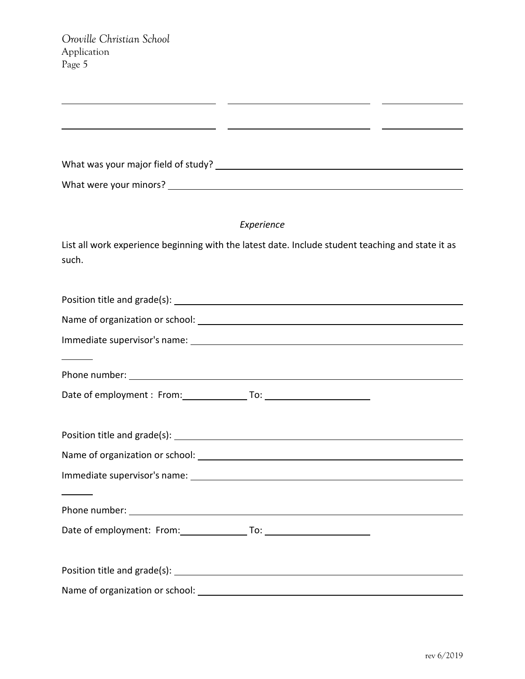| What was your major field of study? |  |  |  |  |  |
|-------------------------------------|--|--|--|--|--|
|-------------------------------------|--|--|--|--|--|

What were your minors?

#### *Experience*

<u> 1989 - Johann John Stone, mars et al. (</u>

List all work experience beginning with the latest date. Include student teaching and state it as such.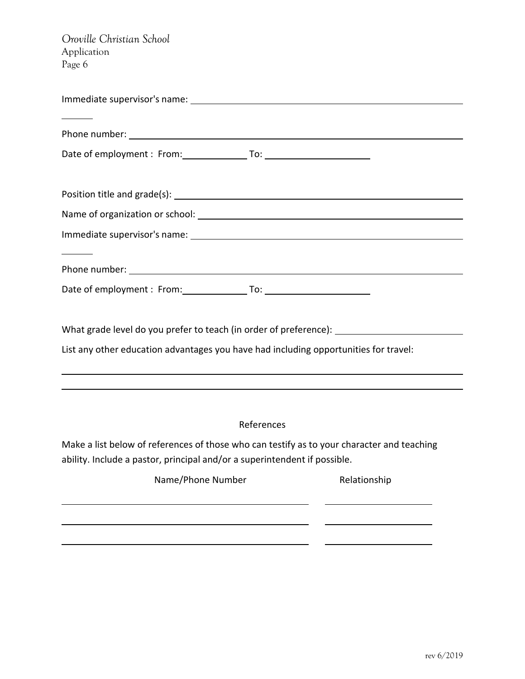*Oroville Christian School* Application Page 6

| What grade level do you prefer to teach (in order of preference): _______________          |
|--------------------------------------------------------------------------------------------|
| List any other education advantages you have had including opportunities for travel:       |
| ,我们也不会有什么。""我们的人,我们也不会有什么?""我们的人,我们也不会有什么?""我们的人,我们也不会有什么?""我们的人,我们也不会有什么?""我们的人           |
|                                                                                            |
|                                                                                            |
| References                                                                                 |
| Make a list below of references of those who can testify as to your character and teaching |

ability. Include a pastor, principal and/or a superintendent if possible.

| Name/Phone Number | Relationship |
|-------------------|--------------|
|                   |              |
|                   |              |